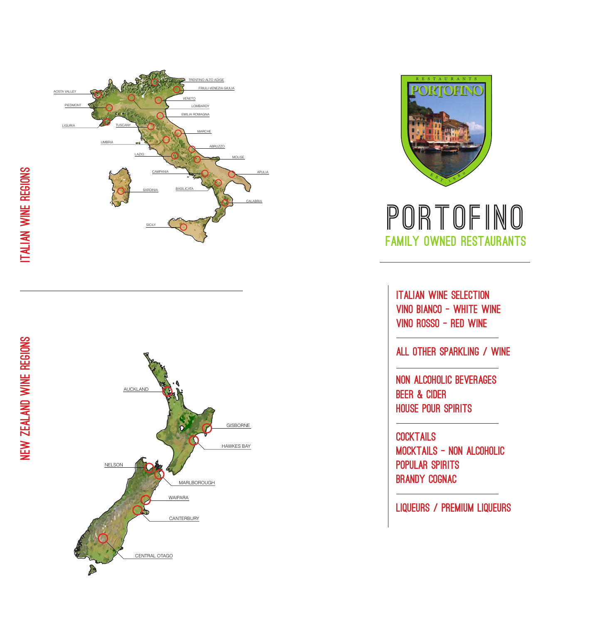





# **PORTOFINO** FAMILY OWNED RESTAURANTS

ITALIAN WINE SELECTION VINO BIANCO - WHITE WINE VINO ROSSO - RED WINE

ALL OTHER SPARKLING / WINE

NON ALCOHOLIC BEVERAGES BEER & CIDER HOUSE POUR SPIRITS

**COCKTAILS** MOCKTAILS - NON ALCOHOLIC POPULAR SPIRITS BRANDY COGNAC

LIQUEURS / PREMIUM LIQUEURS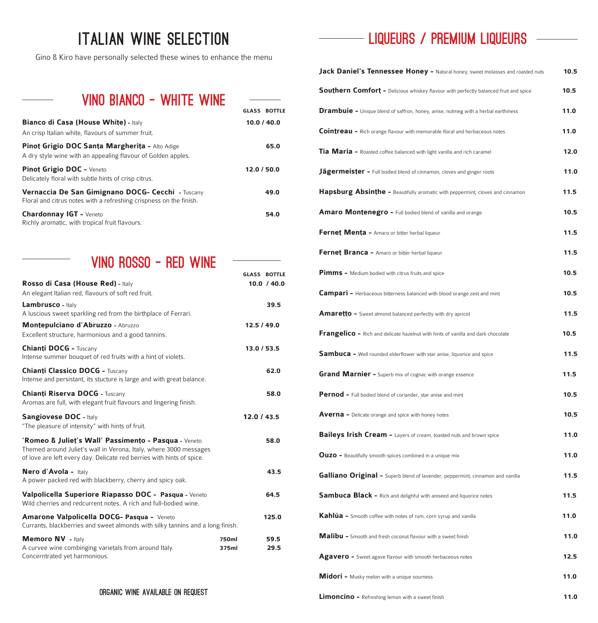# ITALIAN WINE SELECTION

Gino & Kiro have personally selected these wines to enhance the menu

### VINO BIANCO - WHITE WINE

|                                                                                                                         | <b>GLASS BOTTLE</b> |
|-------------------------------------------------------------------------------------------------------------------------|---------------------|
| <b>Bianco di Casa (House White) - Italy</b>                                                                             | 10.0 / 40.0         |
| An crisp Italian white, flavours of summer fruit.                                                                       |                     |
| Pinot Grigio DOC Santa Margherita - Alto Adige<br>A dry style wine with an appealing flavour of Golden apples.          | 65.0                |
| <b>Pinot Grigio DOC - Veneto</b><br>Delicately floral with subtle hints of crisp citrus.                                | 12.0 / 50.0         |
| Vernaccia De San Gimignano DOCG- Cecchi - Tuscany<br>Floral and citrus notes with a refreshing crispness on the finish. | 49.0                |
| <b>Chardonnay IGT - Veneto</b><br>Richly aromatic, with tropical fruit flavours.                                        | 54.0                |

### VINO ROSSO - RED WINE

 $\overline{\phantom{0}}$ 

 **GLASS BOTTLE**

| Rosso di Casa (House Red) - Italy<br>An elegant Italian red, flavours of soft red fruit.                                                                                                           | 10.0 / 40.0                           |
|----------------------------------------------------------------------------------------------------------------------------------------------------------------------------------------------------|---------------------------------------|
| Lambrusco - Italy<br>A luscious sweet sparkling red from the birthplace of Ferrari.                                                                                                                | 39.5                                  |
| Montepulciano d'Abruzzo - Abruzzo<br>Excellent structure, harmonious and a good tannins.                                                                                                           | 12.5/49.0                             |
| <b>Chianti DOCG - Tuscany</b><br>Intense summer bouquet of red fruits with a hint of violets.                                                                                                      | 13.0 / 53.5                           |
| <b>Chianti Classico DOCG - Tuscany</b><br>Intense and persistant, its stucture is large and with great balance.                                                                                    | 62.0                                  |
| <b>Chianti Riserva DOCG - Tuscany</b><br>Aromas are full, with elegant fruit flavours and lingering finish.                                                                                        | 58.0                                  |
| <b>Sangiovese DOC - Italy</b><br>"The pleasure of intensity" with hints of fruit.                                                                                                                  | 12.0 / 43.5                           |
| 'Romeo & Juliet's Wall' Passimento - Pasqua - Veneto<br>Themed around Juliet's wall in Verona, Italy, where 3000 messages<br>of love are left every day. Delicate red berries with hints of spice. | 58.0                                  |
| Nero d'Avola - Italy<br>A power packed red with blackberry, cherry and spicy oak.                                                                                                                  | 43.5                                  |
| Valpolicella Superiore Riapasso DOC - Pasqua - Veneto<br>Wild cherries and redcurrent notes. A rich and full-bodied wine.                                                                          | 64.5                                  |
| Amarone Valpolicella DOCG- Pasqua - Veneto<br>Currants, blackberries and sweet almonds with silky tannins and a long finish.                                                                       | 125.0                                 |
| Memoro NV - Italy<br>A curvee wine combinging varietals from around Italy.<br>Concerntrated yet harmonious.                                                                                        | 59.5<br><b>750ml</b><br>29.5<br>375ml |

# **LIQUEURS / PREMIUM LIQUEURS**

| Jack Daniel's Tennessee Honey - Natural honey, sweet molasses and roasted nuts              | 10.5 |
|---------------------------------------------------------------------------------------------|------|
| <b>Southern Comfort -</b> Delicious whiskey flavour with perfectly balanced fruit and spice | 10.5 |
| <b>Drambuie -</b> Unique blend of saffron, honey, anise, nutmeg with a herbal earthiness    | 11.0 |
| Cointreau - Rich orange flavour with memorable floral and herbaceous notes                  | 11.0 |
| Tia Maria - Roasted coffee balanced with light vanilla and rich caramel                     | 12.0 |
| Jägermeister - Full bodied blend of cinnamon, cloves and ginger roots                       | 11.0 |
| Hapsburg Absinthe - Beautifully aromatic with peppermint, cloves and cinnamon               | 11.5 |
| Amaro Montenegro - Full bodied blend of vanilla and orange                                  | 10.5 |
| <b>Fernet Menta - Amaro or bitter herbal liqueur</b>                                        | 11.5 |
| Fernet Branca - Amaro or bitter herbal liqueur                                              | 11.5 |
| Pimms - Medium bodied with citrus fruits and spice                                          | 10.5 |
| <b>Campari</b> - Herbaceous bitterness balanced with blood orange zest and mint             | 10.5 |
| <b>Amaretto -</b> Sweet almond balanced perfectly with dry apricot                          | 11.5 |
| Frangelico - Rich and delicate hazelnut with hints of vanilla and dark chocolate            | 10.5 |
| Sambuca - Well rounded elderflower with star anise, liquorice and spice                     | 11.5 |
| <b>Grand Marnier -</b> Superb mix of cognac with orange essence                             | 11.5 |
| Pernod - Full bodied blend of coriander, star anise and mint                                | 10.5 |
| <b>Averna</b> - Delicate orange and spice with honey notes                                  | 10.5 |
| <b>Baileys Irish Cream - Layers of cream, toasted nuts and brown spice</b>                  | 11.0 |
| <b>Ouzo</b> - Beautifully smooth spices combined in a unique mix                            | 11.0 |
| Galliano Original - Superb blend of lavender, peppermint, cinnamon and vanilla              | 11.5 |
| <b>Sambuca Black - Rich and delighful with aniseed and liquorice notes</b>                  | 11.5 |
| Kahlúa - Smooth coffee with notes of rum, corn syrup and vanilla                            | 11.0 |
| Malibu - Smooth and fresh coconut flavour with a sweet finish                               | 11.0 |
| Agavero - Sweet agave flavour with smooth herbaceous notes                                  | 12.5 |
| <b>Midori</b> - Musky melon with a unique sourness                                          | 11.0 |
| <b>Limoncino</b> - Refreshing lemon with a sweet finish                                     | 11.0 |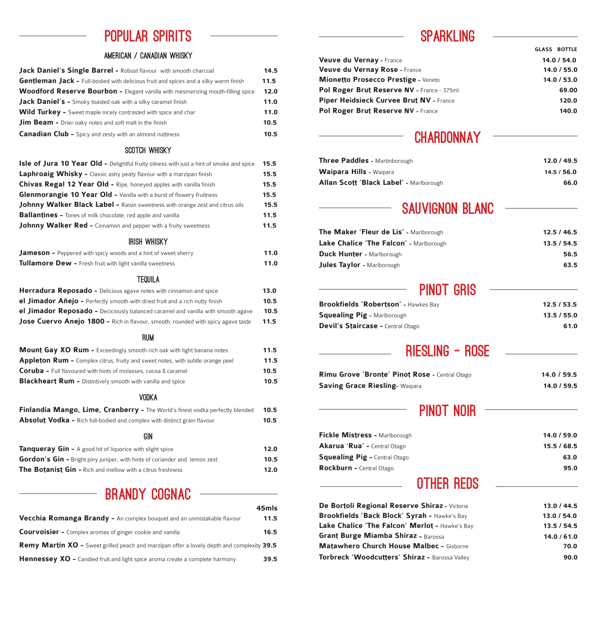# POPULAR SPIRITS

#### AMERICAN / CANADIAN WHISKY

| <b>Jack Daniel's Single Barrel - Robust flavour with smooth charcoal</b>                    | 14.5 |
|---------------------------------------------------------------------------------------------|------|
| <b>Gentleman Jack - Full-bodied with delicious fruit and spices and a silky warm finish</b> | 11.5 |
| Woodford Reserve Bourbon - Elegant vanilla with mesmerizing mouth-filling spice             | 12.0 |
| <b>Jack Daniel's -</b> Smoky toasted oak with a silky caramel finish                        | 11.0 |
| <b>Wild Turkey -</b> Sweet maple nicely contrasted with spice and char                      | 11.0 |
| <b>Jim Beam -</b> Drier oaky notes and soft malt in the finish                              | 10.5 |
| <b>Canadian Club -</b> Spicy and zesty with an almond nuttiness                             | 10.5 |

#### SCOTCH WHISKY

| <b>Isle of Jura 10 Year Old -</b> Delightful fruity oilness with just a hint of smoke and spice | 15.5 |
|-------------------------------------------------------------------------------------------------|------|
| Laphroaig Whisky - Classic ashy peaty flavour with a marzipan finish                            | 15.5 |
| Chivas Regal 12 Year Old - Ripe, honeyed apples with vanilla finish                             | 15.5 |
| <b>Glenmorangie 10 Year Old - Vanilla with a burst of flowery fruitness</b>                     | 15.5 |
| Johnny Walker Black Label - Raisin sweetness with orange zest and citrus oils                   | 15.5 |
| <b>Ballantines -</b> Tones of milk chocolate, red apple and vanilla                             | 11.5 |
| Johnny Walker Red - Cinnamon and pepper with a fruity sweetness                                 | 11.5 |

#### IRISH WHISKY

| <b>Jameson</b> – Peppered with spicy woods and a hint of sweet sherry | 11.0 |
|-----------------------------------------------------------------------|------|
| <b>Tullamore Dew -</b> Fresh fruit with light vanilla sweetness       | 11.0 |

#### TEQUILA

| Herradura Reposado - Delicious agave notes with cinnamon and spice                  | 13.0 |
|-------------------------------------------------------------------------------------|------|
| <b>el Jimador Añejo -</b> Perfectly smooth with dried fruit and a rich nutty finish | 10.5 |
| el Jimador Reposado - Deciciously balanced caramel and vanilla with smooth agave    | 10.5 |
| Jose Cuervo Anejo 1800 - Rich in flavour, smooth, rounded with spicy agave taste    | 11.5 |

#### RUM

| 11.5 |
|------|
| 10.5 |
| 10.5 |
|      |

#### VODKA

| Finlandia Mango, Lime, Cranberry - The World's finest vodka perfectly blended | 10.5 |
|-------------------------------------------------------------------------------|------|
| Absolut Vodka - Rich full-bodied and complex with distinct grain flavour      | 10.5 |
|                                                                               |      |

#### GIN

| Tanqueray Gin - A good hit of liquorice with slight spice                         | 12.0 |
|-----------------------------------------------------------------------------------|------|
| <b>Gordon's Gin -</b> Bright piny juniper, with hints of coriander and lemon zest | 10.5 |
| The Botanist Gin - Rich and mellow with a citrus freshness                        | 12.0 |

### BRANDY COGNAC

|                                                                                                   | 45mls |
|---------------------------------------------------------------------------------------------------|-------|
| <b>Vecchia Romanga Brandy -</b> An complex bouquet and an unmistakable flavour                    | 11.5  |
| <b>Courvoisier -</b> Complex aromas of ginger cookie and vanilla                                  | 16.5  |
| <b>Remy Martin XO</b> - Sweet grilled peach and marzipan offer a lovely depth and complexity 39.5 |       |
| Hennessey XO - Candied fruit and light spice aroma create a complete harmony                      | 39.5  |

# SPARKLING

|                                                   | <b>GLASS BOTTLE</b> |
|---------------------------------------------------|---------------------|
| Veuve du Vernay - France                          | 14.0 / 54.0         |
| Veuve du Vernay Rose - France                     | 14.0 / 55.0         |
| <b>Mionetto Prosecco Prestige - Veneto</b>        | 14.0 / 53.0         |
| <b>Pol Roger Brut Reserve NV - France - 375ml</b> | 69.00               |
| <b>Piper Heidsieck Curvee Brut NV - France</b>    | 120.0               |
| Pol Roger Brut Reserve NV - France                | 140.0               |

# **CHARDONNAY**

| Three Paddles - Martinborough                  | 12.0 / 49.5 |
|------------------------------------------------|-------------|
| <b>Waipara Hills -</b> Waipara                 | 14.5/56.0   |
| <b>Allan Scott 'Black Label' - Marlborough</b> | 66.0        |

# SAUVIGNON BLANC –

| <b>The Maker 'Fleur de Lis' -</b> Marlborough | 12.5/46.5 |
|-----------------------------------------------|-----------|
| Lake Chalice 'The Falcon' - Marlborough       | 13.5/54.5 |
| <b>Duck Hunter - Marlborough</b>              | 56.5      |
| <b>Jules Taylor - Marlborough</b>             | 63.5      |
|                                               |           |

### PINOT GRIS

| <b>Brookfields 'Robertson' - Hawkes Bay</b> | 12.5 / 53.5 |
|---------------------------------------------|-------------|
| <b>Squealing Pig - Marlborough</b>          | 13.5 / 55.0 |
| <b>Devil's Staircase - Central Otago</b>    | 61.0        |

### RIESLING - ROSE

| <b>Rimu Grove 'Bronte' Pinot Rose - Central Otago</b> | 14.0 / 59.5 |
|-------------------------------------------------------|-------------|
| <b>Saving Grace Riesling- Waipara</b>                 | 14.0 / 59.5 |

### PINOT NOIR

| <b>Fickle Mistress -</b> Marlborough | 14.0 / 59.0 |
|--------------------------------------|-------------|
| <b>Akarua 'Rua' -</b> Central Otago  | 15.5 / 68.5 |
| <b>Squealing Pig - Central Otago</b> | 63.0        |
| <b>Rockburn - Central Otago</b>      | 95.0        |
| OTHER REDS                           |             |

| De Bortoli Regional Reserve Shiraz - Victoria   | 13.0 / 44.5 |
|-------------------------------------------------|-------------|
| Brookfields 'Back Block' Syrah - Hawke's Bay    | 13.0 / 54.0 |
| Lake Chalice 'The Falcon' Merlot - Hawke's Bay  | 13.5 / 54.5 |
| Grant Burge Miamba Shiraz - Barossa             | 14.0/61.0   |
| <b>Matawhero Church House Malbec - Gisborne</b> | 70.0        |
| Torbreck 'Woodcutters' Shiraz - Barossa Valley  | 90.0        |